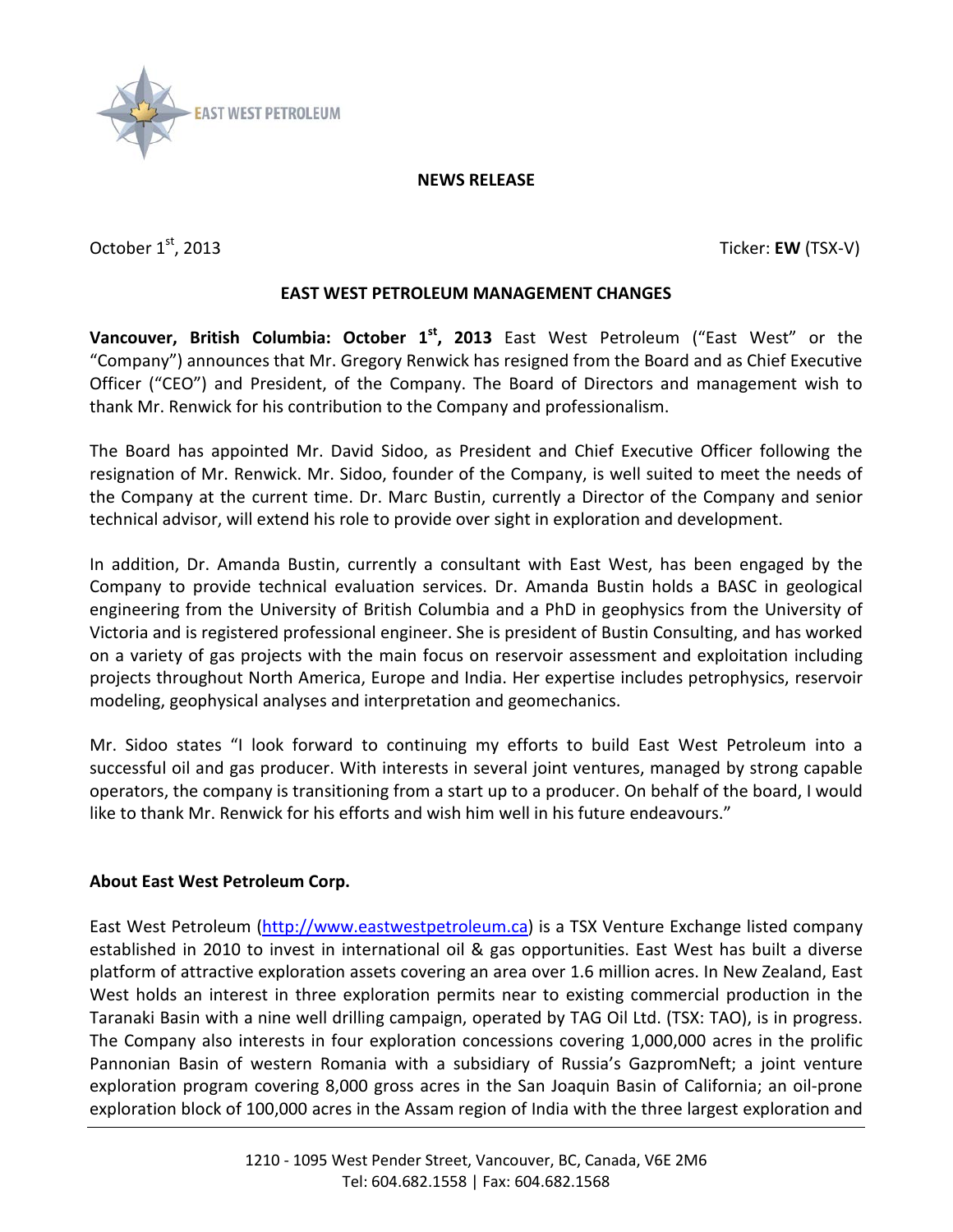

## **NEWS RELEASE**

October 1<sup>st</sup>, 2013 Ticker: **EW** (TSX-V)

## **EAST WEST PETROLEUM MANAGEMENT CHANGES**

**Vancouver, British Columbia: October 1st, 2013** East West Petroleum ("East West" or the "Company") announces that Mr. Gregory Renwick has resigned from the Board and as Chief Executive Officer ("CEO") and President, of the Company. The Board of Directors and management wish to thank Mr. Renwick for his contribution to the Company and professionalism.

The Board has appointed Mr. David Sidoo, as President and Chief Executive Officer following the resignation of Mr. Renwick. Mr. Sidoo, founder of the Company, is well suited to meet the needs of the Company at the current time. Dr. Marc Bustin, currently a Director of the Company and senior technical advisor, will extend his role to provide over sight in exploration and development.

In addition, Dr. Amanda Bustin, currently a consultant with East West, has been engaged by the Company to provide technical evaluation services. Dr. Amanda Bustin holds a BASC in geological engineering from the University of British Columbia and a PhD in geophysics from the University of Victoria and is registered professional engineer. She is president of Bustin Consulting, and has worked on a variety of gas projects with the main focus on reservoir assessment and exploitation including projects throughout North America, Europe and India. Her expertise includes petrophysics, reservoir modeling, geophysical analyses and interpretation and geomechanics.

Mr. Sidoo states "I look forward to continuing my efforts to build East West Petroleum into a successful oil and gas producer. With interests in several joint ventures, managed by strong capable operators, the company is transitioning from a start up to a producer. On behalf of the board, I would like to thank Mr. Renwick for his efforts and wish him well in his future endeavours."

## **About East West Petroleum Corp.**

East West Petroleum [\(http://www.eastwestpetroleum.ca\)](http://www.eastwestpetroleum.ca/) is a TSX Venture Exchange listed company established in 2010 to invest in international oil & gas opportunities. East West has built a diverse platform of attractive exploration assets covering an area over 1.6 million acres. In New Zealand, East West holds an interest in three exploration permits near to existing commercial production in the Taranaki Basin with a nine well drilling campaign, operated by TAG Oil Ltd. (TSX: TAO), is in progress. The Company also interests in four exploration concessions covering 1,000,000 acres in the prolific Pannonian Basin of western Romania with a subsidiary of Russia's GazpromNeft; a joint venture exploration program covering 8,000 gross acres in the San Joaquin Basin of California; an oil-prone exploration block of 100,000 acres in the Assam region of India with the three largest exploration and